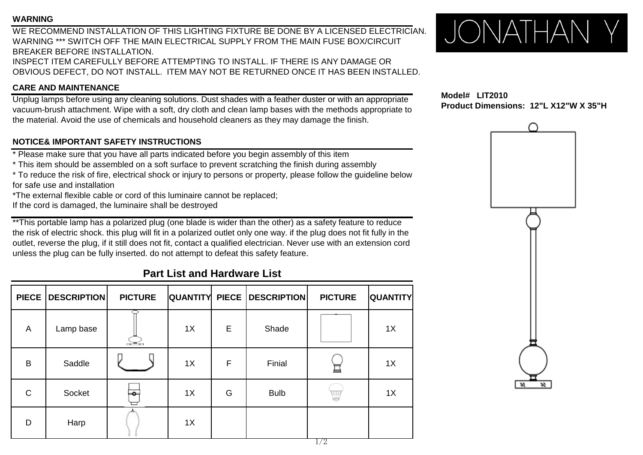#### **WARNING**

WE RECOMMEND INSTALLATION OF THIS LIGHTING FIXTURE BE DONE BY A LICENSED ELECTRICIAN. WARNING \*\*\* SWITCH OFF THE MAIN ELECTRICAL SUPPLY FROM THE MAIN FUSE BOX/CIRCUIT BREAKER BEFORE INSTALLATION. INSPECT ITEM CAREFULLY BEFORE ATTEMPTING TO INSTALL. IF THERE IS ANY DAMAGE OR OBVIOUS DEFECT, DO NOT INSTALL. ITEM MAY NOT BE RETURNED ONCE IT HAS BEEN INSTALLED.

### **CARE AND MAINTENANCE**

Unplug lamps before using any cleaning solutions. Dust shades with a feather duster or with an appropriate vacuum-brush attachment. Wipe with a soft, dry cloth and clean lamp bases with the methods appropriate to the material. Avoid the use of chemicals and household cleaners as they may damage the finish.

## **NOTICE& IMPORTANT SAFETY INSTRUCTIONS**

\* Please make sure that you have all parts indicated before you begin assembly of this item

\* This item should be assembled on a soft surface to prevent scratching the finish during assembly

\* To reduce the risk of fire, electrical shock or injury to persons or property, please follow the guideline below for safe use and installation

\*The external flexible cable or cord of this luminaire cannot be replaced;

If the cord is damaged, the luminaire shall be destroyed

\*\*This portable lamp has a polarized plug (one blade is wider than the other) as a safety feature to reduce the risk of electric shock. this plug will fit in a polarized outlet only one way. if the plug does not fit fully in the outlet, reverse the plug, if it still does not fit, contact a qualified electrician. Never use with an extension cord unless the plug can be fully inserted. do not attempt to defeat this safety feature.

# **Part List and Hardware List**

| PIECE        | <b>DESCRIPTION</b> | <b>PICTURE</b>       |    |             | QUANTITY PIECE   DESCRIPTION | <b>PICTURE</b> | <b>QUANTITY</b> |
|--------------|--------------------|----------------------|----|-------------|------------------------------|----------------|-----------------|
| A            | Lamp base          | $\frac{1}{\sqrt{2}}$ | 1X | Е           | Shade                        |                | 1X              |
| B            | Saddle             |                      | 1X | $\mathsf F$ | Finial                       | 亘              | 1X              |
| $\mathsf{C}$ | Socket             | ⊨о⊣                  | 1X | G           | <b>Bulb</b>                  | WU             | 1X              |
| D            | Harp               |                      | 1X |             |                              | 1/0            |                 |



**Model# LIT2010 Product Dimensions: 12"L X12"W X 35"H**